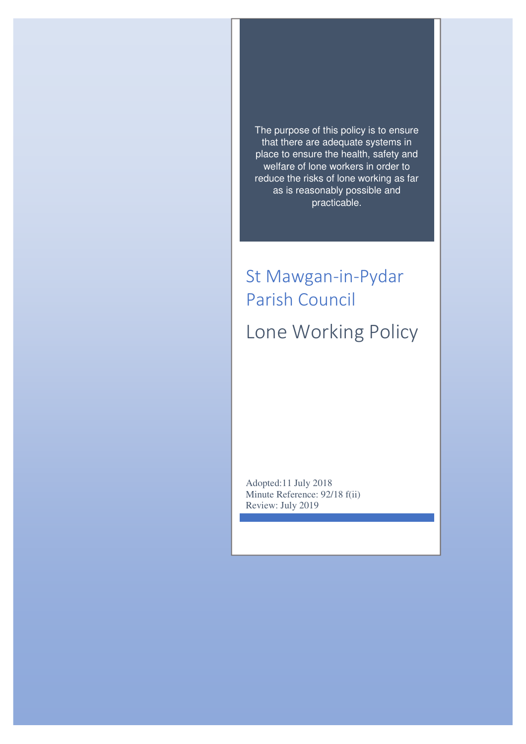The purpose of this policy is to ensure that there are adequate systems in place to ensure the health, safety and welfare of lone workers in order to reduce the risks of lone working as far as is reasonably possible and practicable.

# St Mawgan-in-Pydar Parish Council Lone Working Policy

Adopted:11 July 2018 Minute Reference: 92/18 f(ii) Review: July 2019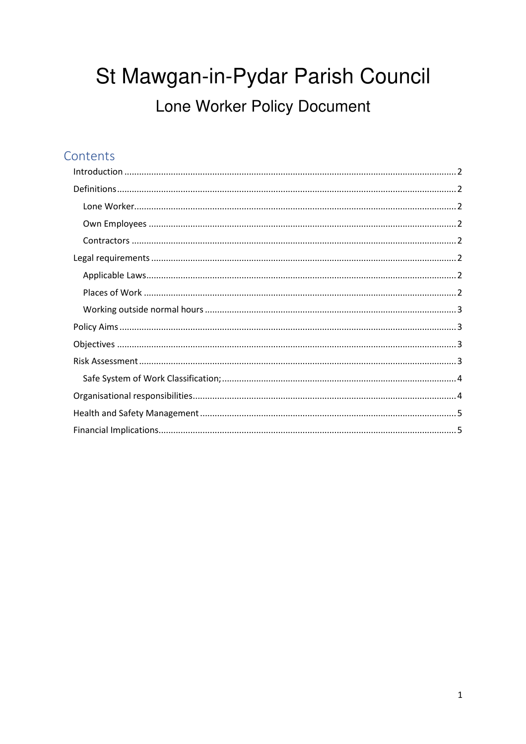# St Mawgan-in-Pydar Parish Council Lone Worker Policy Document

# Contents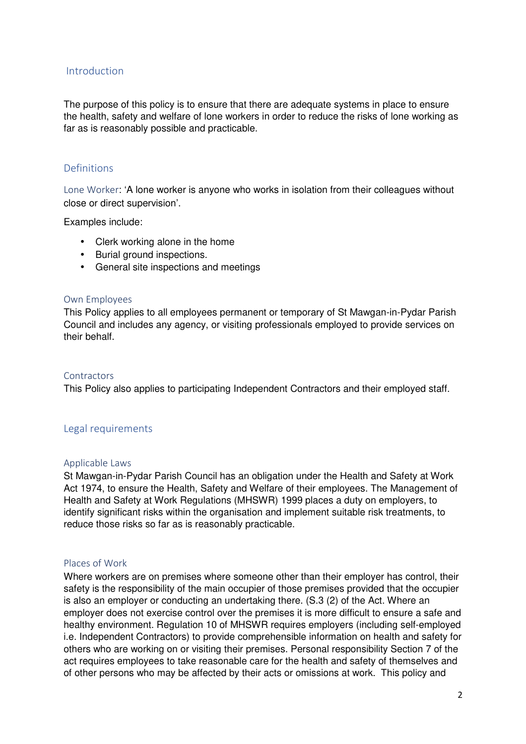### Introduction

The purpose of this policy is to ensure that there are adequate systems in place to ensure the health, safety and welfare of lone workers in order to reduce the risks of lone working as far as is reasonably possible and practicable.

### Definitions

Lone Worker: 'A lone worker is anyone who works in isolation from their colleagues without close or direct supervision'.

Examples include:

- Clerk working alone in the home
- Burial ground inspections.
- General site inspections and meetings

#### Own Employees

This Policy applies to all employees permanent or temporary of St Mawgan-in-Pydar Parish Council and includes any agency, or visiting professionals employed to provide services on their behalf.

#### **Contractors**

This Policy also applies to participating Independent Contractors and their employed staff.

#### Legal requirements

#### Applicable Laws

St Mawgan-in-Pydar Parish Council has an obligation under the Health and Safety at Work Act 1974, to ensure the Health, Safety and Welfare of their employees. The Management of Health and Safety at Work Regulations (MHSWR) 1999 places a duty on employers, to identify significant risks within the organisation and implement suitable risk treatments, to reduce those risks so far as is reasonably practicable.

#### Places of Work

Where workers are on premises where someone other than their employer has control, their safety is the responsibility of the main occupier of those premises provided that the occupier is also an employer or conducting an undertaking there. (S.3 (2) of the Act. Where an employer does not exercise control over the premises it is more difficult to ensure a safe and healthy environment. Regulation 10 of MHSWR requires employers (including self-employed i.e. Independent Contractors) to provide comprehensible information on health and safety for others who are working on or visiting their premises. Personal responsibility Section 7 of the act requires employees to take reasonable care for the health and safety of themselves and of other persons who may be affected by their acts or omissions at work. This policy and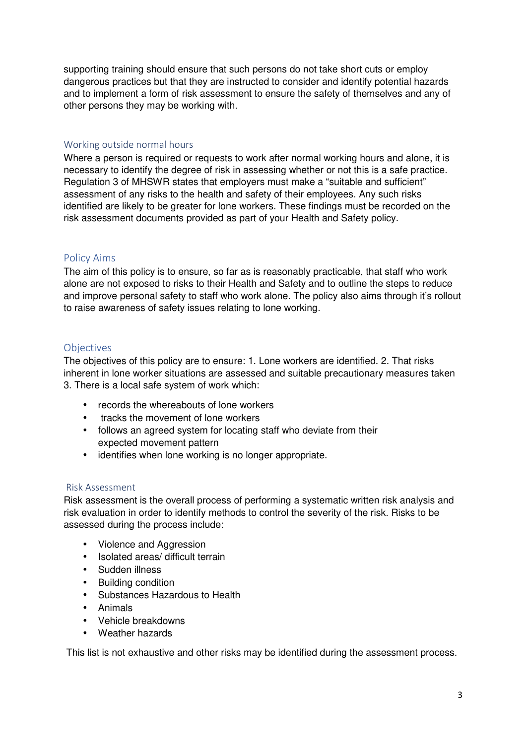supporting training should ensure that such persons do not take short cuts or employ dangerous practices but that they are instructed to consider and identify potential hazards and to implement a form of risk assessment to ensure the safety of themselves and any of other persons they may be working with.

#### Working outside normal hours

Where a person is required or requests to work after normal working hours and alone, it is necessary to identify the degree of risk in assessing whether or not this is a safe practice. Regulation 3 of MHSWR states that employers must make a "suitable and sufficient" assessment of any risks to the health and safety of their employees. Any such risks identified are likely to be greater for lone workers. These findings must be recorded on the risk assessment documents provided as part of your Health and Safety policy.

# Policy Aims

The aim of this policy is to ensure, so far as is reasonably practicable, that staff who work alone are not exposed to risks to their Health and Safety and to outline the steps to reduce and improve personal safety to staff who work alone. The policy also aims through it's rollout to raise awareness of safety issues relating to lone working.

### Objectives

The objectives of this policy are to ensure: 1. Lone workers are identified. 2. That risks inherent in lone worker situations are assessed and suitable precautionary measures taken 3. There is a local safe system of work which:

- records the whereabouts of lone workers
- tracks the movement of lone workers
- follows an agreed system for locating staff who deviate from their expected movement pattern
- identifies when lone working is no longer appropriate.

#### Risk Assessment

Risk assessment is the overall process of performing a systematic written risk analysis and risk evaluation in order to identify methods to control the severity of the risk. Risks to be assessed during the process include:

- Violence and Aggression
- Isolated areas/ difficult terrain
- Sudden illness
- Building condition
- Substances Hazardous to Health
- Animals
- Vehicle breakdowns
- Weather hazards

This list is not exhaustive and other risks may be identified during the assessment process.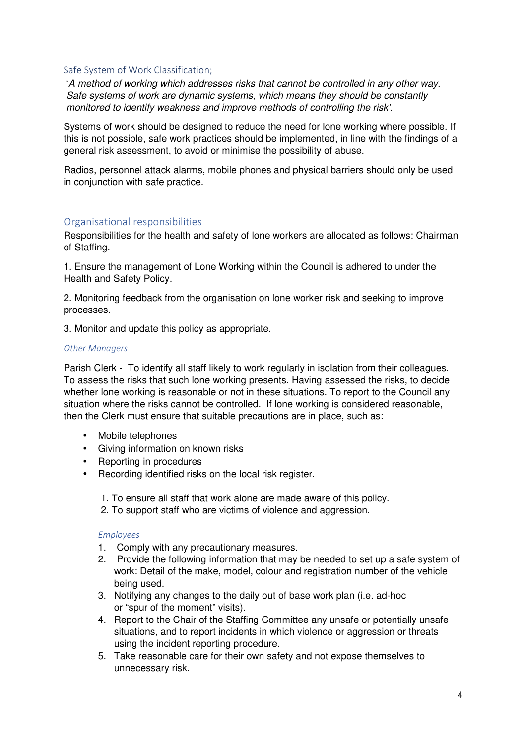#### Safe System of Work Classification;

'A method of working which addresses risks that cannot be controlled in any other way. Safe systems of work are dynamic systems, which means they should be constantly monitored to identify weakness and improve methods of controlling the risk'.

Systems of work should be designed to reduce the need for lone working where possible. If this is not possible, safe work practices should be implemented, in line with the findings of a general risk assessment, to avoid or minimise the possibility of abuse.

Radios, personnel attack alarms, mobile phones and physical barriers should only be used in conjunction with safe practice.

# Organisational responsibilities

Responsibilities for the health and safety of lone workers are allocated as follows: Chairman of Staffing.

1. Ensure the management of Lone Working within the Council is adhered to under the Health and Safety Policy.

2. Monitoring feedback from the organisation on lone worker risk and seeking to improve processes.

3. Monitor and update this policy as appropriate.

#### *Other Managers*

Parish Clerk - To identify all staff likely to work regularly in isolation from their colleagues. To assess the risks that such lone working presents. Having assessed the risks, to decide whether lone working is reasonable or not in these situations. To report to the Council any situation where the risks cannot be controlled. If lone working is considered reasonable, then the Clerk must ensure that suitable precautions are in place, such as:

- Mobile telephones
- Giving information on known risks
- Reporting in procedures
- Recording identified risks on the local risk register.
	- 1. To ensure all staff that work alone are made aware of this policy.
	- 2. To support staff who are victims of violence and aggression.

#### *Employees*

- 1. Comply with any precautionary measures.
- 2. Provide the following information that may be needed to set up a safe system of work: Detail of the make, model, colour and registration number of the vehicle being used.
- 3. Notifying any changes to the daily out of base work plan (i.e. ad-hoc or "spur of the moment" visits).
- 4. Report to the Chair of the Staffing Committee any unsafe or potentially unsafe situations, and to report incidents in which violence or aggression or threats using the incident reporting procedure.
- 5. Take reasonable care for their own safety and not expose themselves to unnecessary risk.